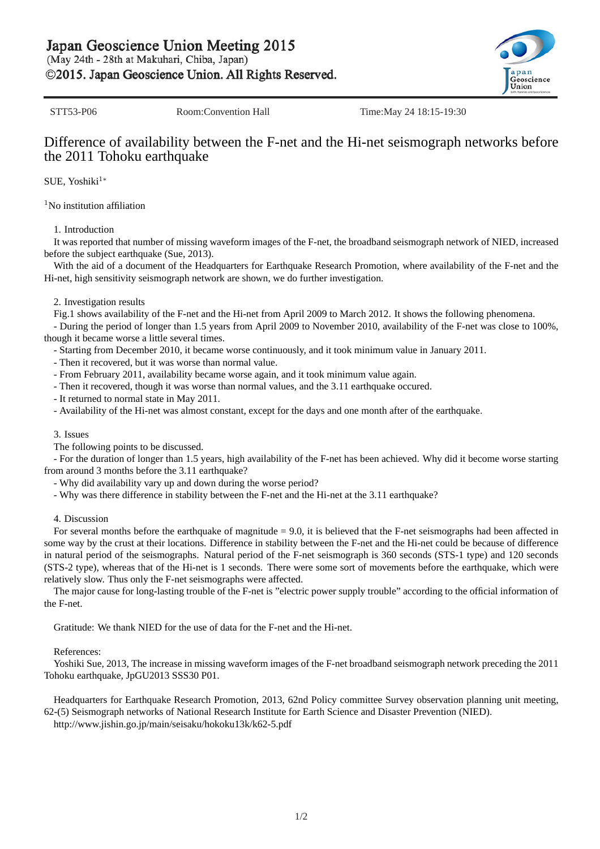Japan Geoscience Union Meeting 2015

(May 24th - 28th at Makuhari, Chiba, Japan)

©2015. Japan Geoscience Union. All Rights Reserved.

STT53-P06 Room:Convention Hall Time:May 24 18:15-19:30

# Difference of availability between the F-net and the Hi-net seismograph networks before the 2011 Tohoku earthquake

SUE, Yoshiki<sup>1</sup><sup>∗</sup>

 $1$ No institution affiliation

## 1. Introduction

It was reported that number of missing waveform images of the F-net, the broadband seismograph network of NIED, increased before the subject earthquake (Sue, 2013).

With the aid of a document of the Headquarters for Earthquake Research Promotion, where availability of the F-net and the Hi-net, high sensitivity seismograph network are shown, we do further investigation.

### 2. Investigation results

Fig.1 shows availability of the F-net and the Hi-net from April 2009 to March 2012. It shows the following phenomena.

- During the period of longer than 1.5 years from April 2009 to November 2010, availability of the F-net was close to 100%, though it became worse a little several times.

- Starting from December 2010, it became worse continuously, and it took minimum value in January 2011.

- Then it recovered, but it was worse than normal value.
- From February 2011, availability became worse again, and it took minimum value again.
- Then it recovered, though it was worse than normal values, and the 3.11 earthquake occured.

- It returned to normal state in May 2011.

- Availability of the Hi-net was almost constant, except for the days and one month after of the earthquake.

#### 3. Issues

The following points to be discussed.

- For the duration of longer than 1.5 years, high availability of the F-net has been achieved. Why did it become worse starting from around 3 months before the 3.11 earthquake?

- Why did availability vary up and down during the worse period?
- Why was there difference in stability between the F-net and the Hi-net at the 3.11 earthquake?

#### 4. Discussion

For several months before the earthquake of magnitude = 9.0, it is believed that the F-net seismographs had been affected in some way by the crust at their locations. Difference in stability between the F-net and the Hi-net could be because of difference in natural period of the seismographs. Natural period of the F-net seismograph is 360 seconds (STS-1 type) and 120 seconds (STS-2 type), whereas that of the Hi-net is 1 seconds. There were some sort of movements before the earthquake, which were relatively slow. Thus only the F-net seismographs were affected.

The major cause for long-lasting trouble of the F-net is "electric power supply trouble" according to the official information of the F-net.

Gratitude: We thank NIED for the use of data for the F-net and the Hi-net.

#### References:

Yoshiki Sue, 2013, The increase in missing waveform images of the F-net broadband seismograph network preceding the 2011 Tohoku earthquake, JpGU2013 SSS30 P01.

Headquarters for Earthquake Research Promotion, 2013, 62nd Policy committee Survey observation planning unit meeting, 62-(5) Seismograph networks of National Research Institute for Earth Science and Disaster Prevention (NIED). http://www.jishin.go.jp/main/seisaku/hokoku13k/k62-5.pdf